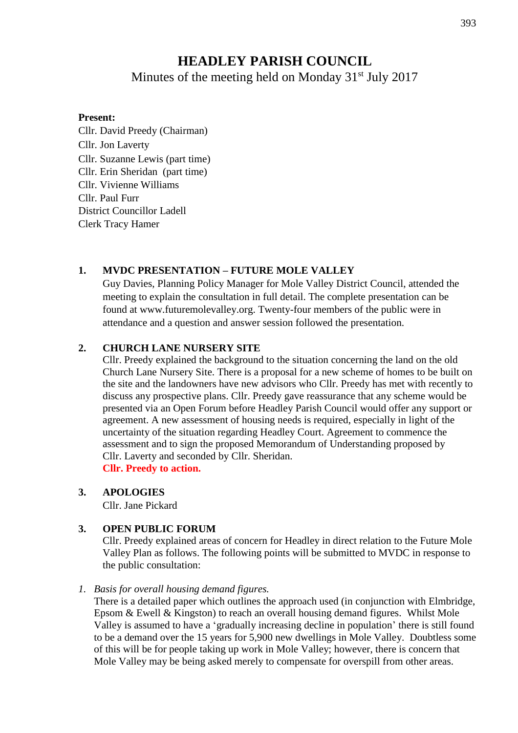# **HEADLEY PARISH COUNCIL**

Minutes of the meeting held on Monday  $31<sup>st</sup>$  July 2017

#### **Present:**

Cllr. David Preedy (Chairman) Cllr. Jon Laverty Cllr. Suzanne Lewis (part time) Cllr. Erin Sheridan (part time) Cllr. Vivienne Williams Cllr. Paul Furr District Councillor Ladell Clerk Tracy Hamer

## **1. MVDC PRESENTATION – FUTURE MOLE VALLEY**

Guy Davies, Planning Policy Manager for Mole Valley District Council, attended the meeting to explain the consultation in full detail. The complete presentation can be found at www.futuremolevalley.org. Twenty-four members of the public were in attendance and a question and answer session followed the presentation.

## **2. CHURCH LANE NURSERY SITE**

Cllr. Preedy explained the background to the situation concerning the land on the old Church Lane Nursery Site. There is a proposal for a new scheme of homes to be built on the site and the landowners have new advisors who Cllr. Preedy has met with recently to discuss any prospective plans. Cllr. Preedy gave reassurance that any scheme would be presented via an Open Forum before Headley Parish Council would offer any support or agreement. A new assessment of housing needs is required, especially in light of the uncertainty of the situation regarding Headley Court. Agreement to commence the assessment and to sign the proposed Memorandum of Understanding proposed by Cllr. Laverty and seconded by Cllr. Sheridan. **Cllr. Preedy to action.**

#### **3. APOLOGIES**

Cllr. Jane Pickard

## **3. OPEN PUBLIC FORUM**

Cllr. Preedy explained areas of concern for Headley in direct relation to the Future Mole Valley Plan as follows. The following points will be submitted to MVDC in response to the public consultation:

#### *1. Basis for overall housing demand figures.*

There is a detailed paper which outlines the approach used (in conjunction with Elmbridge, Epsom & Ewell & Kingston) to reach an overall housing demand figures. Whilst Mole Valley is assumed to have a 'gradually increasing decline in population' there is still found to be a demand over the 15 years for 5,900 new dwellings in Mole Valley. Doubtless some of this will be for people taking up work in Mole Valley; however, there is concern that Mole Valley may be being asked merely to compensate for overspill from other areas.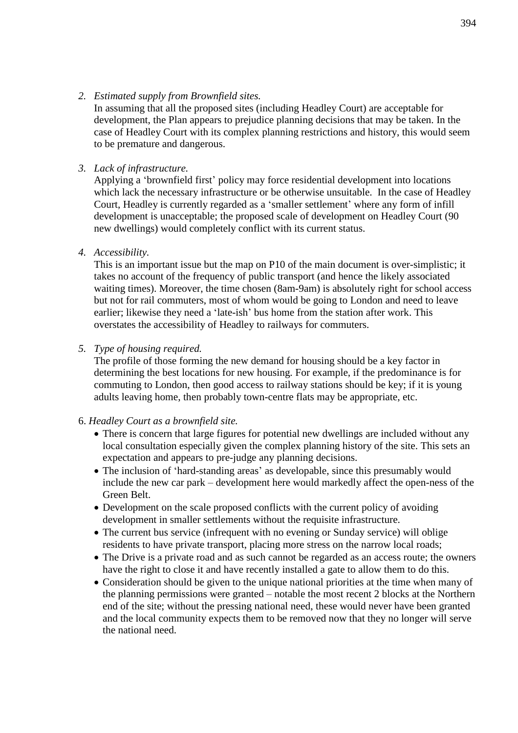#### *2. Estimated supply from Brownfield sites.*

In assuming that all the proposed sites (including Headley Court) are acceptable for development, the Plan appears to prejudice planning decisions that may be taken. In the case of Headley Court with its complex planning restrictions and history, this would seem to be premature and dangerous.

#### *3. Lack of infrastructure.*

Applying a 'brownfield first' policy may force residential development into locations which lack the necessary infrastructure or be otherwise unsuitable. In the case of Headley Court, Headley is currently regarded as a 'smaller settlement' where any form of infill development is unacceptable; the proposed scale of development on Headley Court (90 new dwellings) would completely conflict with its current status.

## *4. Accessibility.*

This is an important issue but the map on P10 of the main document is over-simplistic; it takes no account of the frequency of public transport (and hence the likely associated waiting times). Moreover, the time chosen (8am-9am) is absolutely right for school access but not for rail commuters, most of whom would be going to London and need to leave earlier; likewise they need a 'late-ish' bus home from the station after work. This overstates the accessibility of Headley to railways for commuters.

## *5. Type of housing required.*

The profile of those forming the new demand for housing should be a key factor in determining the best locations for new housing. For example, if the predominance is for commuting to London, then good access to railway stations should be key; if it is young adults leaving home, then probably town-centre flats may be appropriate, etc.

#### 6. *Headley Court as a brownfield site.*

- There is concern that large figures for potential new dwellings are included without any local consultation especially given the complex planning history of the site. This sets an expectation and appears to pre-judge any planning decisions.
- The inclusion of 'hard-standing areas' as developable, since this presumably would include the new car park – development here would markedly affect the open-ness of the Green Belt.
- Development on the scale proposed conflicts with the current policy of avoiding development in smaller settlements without the requisite infrastructure.
- The current bus service (infrequent with no evening or Sunday service) will oblige residents to have private transport, placing more stress on the narrow local roads;
- The Drive is a private road and as such cannot be regarded as an access route; the owners have the right to close it and have recently installed a gate to allow them to do this.
- Consideration should be given to the unique national priorities at the time when many of the planning permissions were granted – notable the most recent 2 blocks at the Northern end of the site; without the pressing national need, these would never have been granted and the local community expects them to be removed now that they no longer will serve the national need.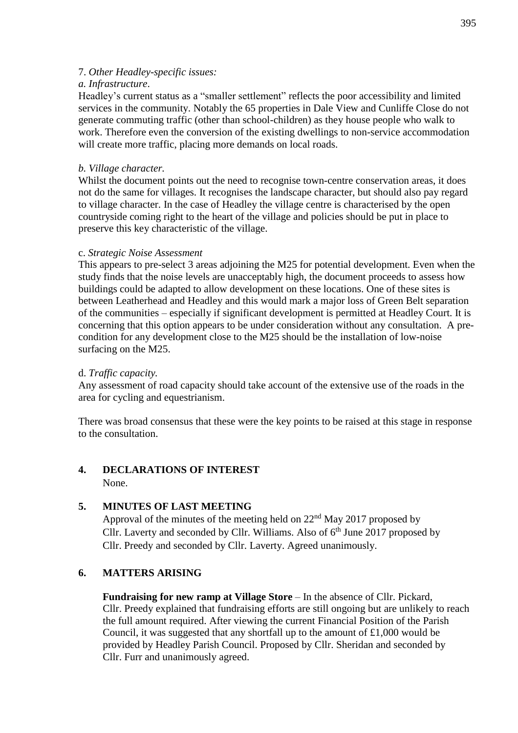## 7. *Other Headley-specific issues:*

## *a. Infrastructure*.

Headley's current status as a "smaller settlement" reflects the poor accessibility and limited services in the community. Notably the 65 properties in Dale View and Cunliffe Close do not generate commuting traffic (other than school-children) as they house people who walk to work. Therefore even the conversion of the existing dwellings to non-service accommodation will create more traffic, placing more demands on local roads.

## *b. Village character.*

Whilst the document points out the need to recognise town-centre conservation areas, it does not do the same for villages. It recognises the landscape character, but should also pay regard to village character. In the case of Headley the village centre is characterised by the open countryside coming right to the heart of the village and policies should be put in place to preserve this key characteristic of the village.

## c. *Strategic Noise Assessment*

This appears to pre-select 3 areas adjoining the M25 for potential development. Even when the study finds that the noise levels are unacceptably high, the document proceeds to assess how buildings could be adapted to allow development on these locations. One of these sites is between Leatherhead and Headley and this would mark a major loss of Green Belt separation of the communities – especially if significant development is permitted at Headley Court. It is concerning that this option appears to be under consideration without any consultation. A precondition for any development close to the M25 should be the installation of low-noise surfacing on the M25.

## d. *Traffic capacity.*

Any assessment of road capacity should take account of the extensive use of the roads in the area for cycling and equestrianism.

There was broad consensus that these were the key points to be raised at this stage in response to the consultation.

## **4. DECLARATIONS OF INTEREST** None.

## **5. MINUTES OF LAST MEETING**

Approval of the minutes of the meeting held on 22nd May 2017 proposed by Cllr. Laverty and seconded by Cllr. Williams. Also of 6<sup>th</sup> June 2017 proposed by Cllr. Preedy and seconded by Cllr. Laverty. Agreed unanimously.

## **6. MATTERS ARISING**

**Fundraising for new ramp at Village Store** – In the absence of Cllr. Pickard, Cllr. Preedy explained that fundraising efforts are still ongoing but are unlikely to reach the full amount required. After viewing the current Financial Position of the Parish Council, it was suggested that any shortfall up to the amount of £1,000 would be provided by Headley Parish Council. Proposed by Cllr. Sheridan and seconded by Cllr. Furr and unanimously agreed.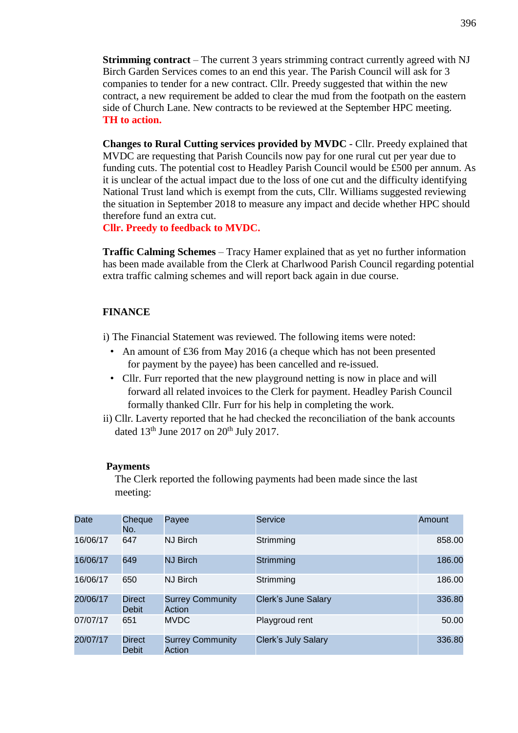**Strimming contract** – The current 3 years strimming contract currently agreed with NJ Birch Garden Services comes to an end this year. The Parish Council will ask for 3 companies to tender for a new contract. Cllr. Preedy suggested that within the new contract, a new requirement be added to clear the mud from the footpath on the eastern side of Church Lane. New contracts to be reviewed at the September HPC meeting. **TH to action.**

**Changes to Rural Cutting services provided by MVDC** - Cllr. Preedy explained that MVDC are requesting that Parish Councils now pay for one rural cut per year due to funding cuts. The potential cost to Headley Parish Council would be £500 per annum. As it is unclear of the actual impact due to the loss of one cut and the difficulty identifying National Trust land which is exempt from the cuts, Cllr. Williams suggested reviewing the situation in September 2018 to measure any impact and decide whether HPC should therefore fund an extra cut.

#### **Cllr. Preedy to feedback to MVDC.**

**Traffic Calming Schemes** – Tracy Hamer explained that as yet no further information has been made available from the Clerk at Charlwood Parish Council regarding potential extra traffic calming schemes and will report back again in due course.

#### **FINANCE**

i) The Financial Statement was reviewed. The following items were noted:

- An amount of £36 from May 2016 (a cheque which has not been presented for payment by the payee) has been cancelled and re-issued.
- Cllr. Furr reported that the new playground netting is now in place and will forward all related invoices to the Clerk for payment. Headley Parish Council formally thanked Cllr. Furr for his help in completing the work.
- ii) Cllr. Laverty reported that he had checked the reconciliation of the bank accounts dated  $13<sup>th</sup>$  June 2017 on  $20<sup>th</sup>$  July 2017.

#### **Payments**

The Clerk reported the following payments had been made since the last meeting:

| Date     | Cheque<br>No.          | Payee                             | Service                    | Amount |
|----------|------------------------|-----------------------------------|----------------------------|--------|
| 16/06/17 | 647                    | <b>NJ Birch</b>                   | Strimming                  | 858.00 |
| 16/06/17 | 649                    | <b>NJ Birch</b>                   | Strimming                  | 186.00 |
| 16/06/17 | 650                    | <b>NJ Birch</b>                   | Strimming                  | 186.00 |
| 20/06/17 | <b>Direct</b><br>Debit | <b>Surrey Community</b><br>Action | Clerk's June Salary        | 336.80 |
| 07/07/17 | 651                    | <b>MVDC</b>                       | Playgroud rent             | 50.00  |
| 20/07/17 | <b>Direct</b><br>Debit | <b>Surrey Community</b><br>Action | <b>Clerk's July Salary</b> | 336.80 |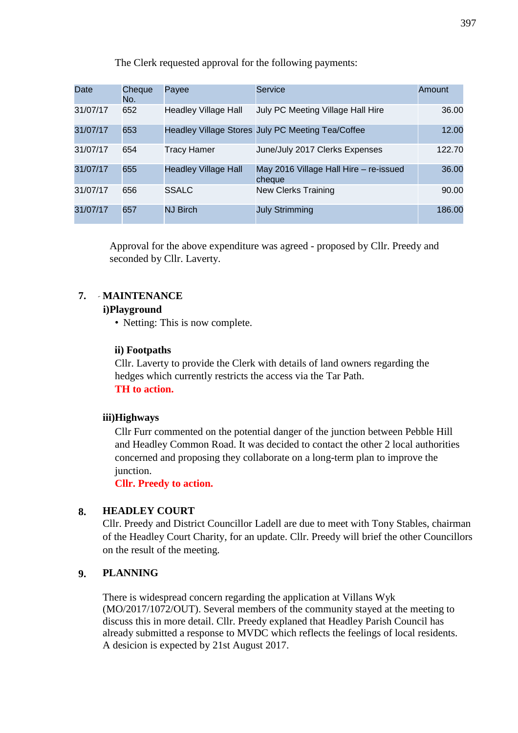The Clerk requested approval for the following payments:

| Date     | Cheque<br>No. | Payee                       | Service                                           | Amount |
|----------|---------------|-----------------------------|---------------------------------------------------|--------|
| 31/07/17 | 652           | <b>Headley Village Hall</b> | July PC Meeting Village Hall Hire                 | 36.00  |
| 31/07/17 | 653           |                             | Headley Village Stores July PC Meeting Tea/Coffee | 12.00  |
| 31/07/17 | 654           | <b>Tracy Hamer</b>          | June/July 2017 Clerks Expenses                    | 122.70 |
| 31/07/17 | 655           | <b>Headley Village Hall</b> | May 2016 Village Hall Hire - re-issued<br>cheque  | 36.00  |
| 31/07/17 | 656           | <b>SSALC</b>                | <b>New Clerks Training</b>                        | 90.00  |
| 31/07/17 | 657           | <b>NJ Birch</b>             | <b>July Strimming</b>                             | 186.00 |

Approval for the above expenditure was agreed - proposed by Cllr. Preedy and seconded by Cllr. Laverty.

# **7. MAINTENANCE**

## **i)Playground**

• Netting: This is now complete.

## **ii) Footpaths**

Cllr. Laverty to provide the Clerk with details of land owners regarding the hedges which currently restricts the access via the Tar Path. **TH to action.**

## **iii)Highways**

Cllr Furr commented on the potential danger of the junction between Pebble Hill and Headley Common Road. It was decided to contact the other 2 local authorities concerned and proposing they collaborate on a long-term plan to improve the junction.

**Cllr. Preedy to action.**

# **8. HEADLEY COURT**

Cllr. Preedy and District Councillor Ladell are due to meet with Tony Stables, chairman of the Headley Court Charity, for an update. Cllr. Preedy will brief the other Councillors on the result of the meeting.

# **9. PLANNING**

There is widespread concern regarding the application at Villans Wyk (MO/2017/1072/OUT). Several members of the community stayed at the meeting to discuss this in more detail. Cllr. Preedy explaned that Headley Parish Council has already submitted a response to MVDC which reflects the feelings of local residents. A desicion is expected by 21st August 2017.